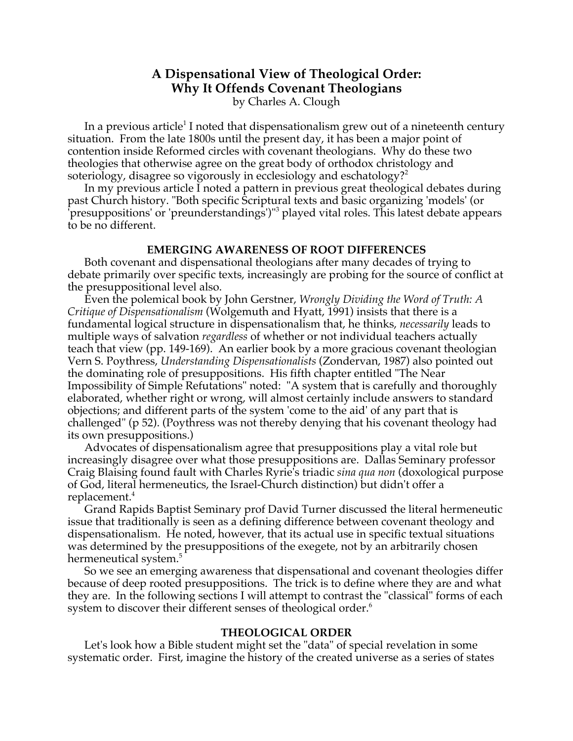# **A Dispensational View of Theological Order: Why It Offends Covenant Theologians** by Charles A. Clough

In a previous article<sup>1</sup> I noted that dispensationalism grew out of a nineteenth century situation. From the late 1800s until the present day, it has been a major point of contention inside Reformed circles with covenant theologians. Why do these two theologies that otherwise agree on the great body of orthodox christology and soteriology, disagree so vigorously in ecclesiology and eschatology?<sup>2</sup>

In my previous article I noted a pattern in previous great theological debates during past Church history. "Both specific Scriptural texts and basic organizing 'models' (or <sup>T</sup>presuppositions' or 'preunderstandings')"<sup>3</sup> played vital roles. This latest debate appears to be no different.

### **EMERGING AWARENESS OF ROOT DIFFERENCES**

Both covenant and dispensational theologians after many decades of trying to debate primarily over specific texts, increasingly are probing for the source of conflict at the presuppositional level also.

Even the polemical book by John Gerstner, *Wrongly Dividing the Word of Truth: A Critique of Dispensationalism* (Wolgemuth and Hyatt, 1991) insists that there is a fundamental logical structure in dispensationalism that, he thinks, *necessarily* leads to multiple ways of salvation *regardless* of whether or not individual teachers actually teach that view (pp. 149-169). An earlier book by a more gracious covenant theologian Vern S. Poythress, *Understanding Dispensationalists* (Zondervan, 1987) also pointed out the dominating role of presuppositions. His fifth chapter entitled "The Near Impossibility of Simple Refutations" noted: "A system that is carefully and thoroughly elaborated, whether right or wrong, will almost certainly include answers to standard objections; and different parts of the system 'come to the aid' of any part that is challenged" (p 52). (Poythress was not thereby denying that his covenant theology had its own presuppositions.)

Advocates of dispensationalism agree that presuppositions play a vital role but increasingly disagree over what those presuppositions are. Dallas Seminary professor Craig Blaising found fault with Charles Ryrie's triadic *sina qua non* (doxological purpose of God, literal hermeneutics, the Israel-Church distinction) but didn't offer a replacement.<sup>4</sup>

Grand Rapids Baptist Seminary prof David Turner discussed the literal hermeneutic issue that traditionally is seen as a defining difference between covenant theology and dispensationalism. He noted, however, that its actual use in specific textual situations was determined by the presuppositions of the exegete, not by an arbitrarily chosen hermeneutical system.<sup>5</sup>

So we see an emerging awareness that dispensational and covenant theologies differ because of deep rooted presuppositions. The trick is to define where they are and what they are. In the following sections I will attempt to contrast the "classical" forms of each system to discover their different senses of theological order.<sup>6</sup>

### **THEOLOGICAL ORDER**

Let's look how a Bible student might set the "data" of special revelation in some systematic order. First, imagine the history of the created universe as a series of states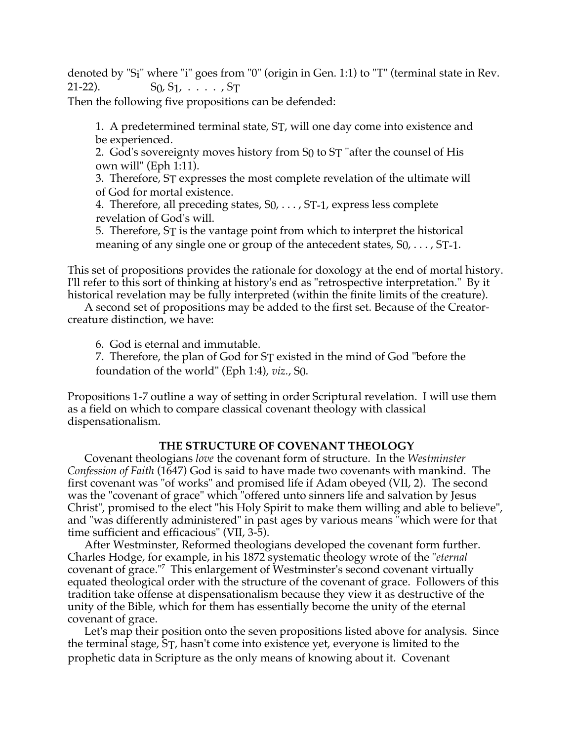denoted by "Si" where "i" goes from "0" (origin in Gen. 1:1) to "T" (terminal state in Rev. 21-22).  $S_0, S_1, \ldots, S_T$ 

Then the following five propositions can be defended:

1. A predetermined terminal state, ST, will one day come into existence and be experienced.

2. God's sovereignty moves history from S0 to ST "after the counsel of His own will" (Eph 1:11).

3. Therefore, ST expresses the most complete revelation of the ultimate will of God for mortal existence.

4. Therefore, all preceding states, S0, . . . , ST-1, express less complete revelation of God's will.

5. Therefore, ST is the vantage point from which to interpret the historical meaning of any single one or group of the antecedent states,  $S_0, \ldots, S_{T-1}$ .

This set of propositions provides the rationale for doxology at the end of mortal history. I'll refer to this sort of thinking at history's end as "retrospective interpretation." By it historical revelation may be fully interpreted (within the finite limits of the creature).

A second set of propositions may be added to the first set. Because of the Creatorcreature distinction, we have:

6. God is eternal and immutable.

7. Therefore, the plan of God for ST existed in the mind of God "before the foundation of the world" (Eph 1:4), *viz.*, S0.

Propositions 1-7 outline a way of setting in order Scriptural revelation. I will use them as a field on which to compare classical covenant theology with classical dispensationalism.

# **THE STRUCTURE OF COVENANT THEOLOGY**

Covenant theologians *love* the covenant form of structure. In the *Westminster Confession of Faith* (1647) God is said to have made two covenants with mankind. The first covenant was "of works" and promised life if Adam obeyed (VII, 2). The second was the "covenant of grace" which "offered unto sinners life and salvation by Jesus Christ", promised to the elect "his Holy Spirit to make them willing and able to believe", and "was differently administered" in past ages by various means "which were for that time sufficient and efficacious" (VII, 3-5).

After Westminster, Reformed theologians developed the covenant form further. Charles Hodge, for example, in his 1872 systematic theology wrote of the "*eternal* covenant of grace."<sup>7</sup> This enlargement of Westminster's second covenant virtually equated theological order with the structure of the covenant of grace. Followers of this tradition take offense at dispensationalism because they view it as destructive of the unity of the Bible, which for them has essentially become the unity of the eternal covenant of grace.

Let's map their position onto the seven propositions listed above for analysis. Since the terminal stage, ST, hasn't come into existence yet, everyone is limited to the prophetic data in Scripture as the only means of knowing about it. Covenant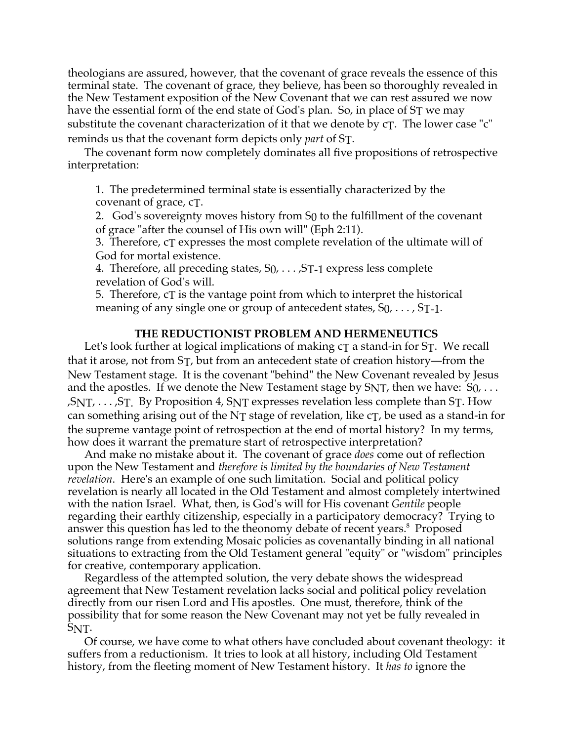theologians are assured, however, that the covenant of grace reveals the essence of this terminal state. The covenant of grace, they believe, has been so thoroughly revealed in the New Testament exposition of the New Covenant that we can rest assured we now have the essential form of the end state of God's plan. So, in place of ST we may substitute the covenant characterization of it that we denote by cT. The lower case "c" reminds us that the covenant form depicts only *part* of ST.

The covenant form now completely dominates all five propositions of retrospective interpretation:

1. The predetermined terminal state is essentially characterized by the covenant of grace, cT.

2. God's sovereignty moves history from S0 to the fulfillment of the covenant of grace "after the counsel of His own will" (Eph 2:11).

3. Therefore, cT expresses the most complete revelation of the ultimate will of God for mortal existence.

4. Therefore, all preceding states,  $S_0$ ,  $\ldots$ ,  $S_{T-1}$  express less complete revelation of God's will.

5. Therefore, cT is the vantage point from which to interpret the historical meaning of any single one or group of antecedent states,  $S_0$ , ...,  $S_T$ -1.

## **THE REDUCTIONIST PROBLEM AND HERMENEUTICS**

Let's look further at logical implications of making  $c<sub>T</sub>$  a stand-in for  $S<sub>T</sub>$ . We recall that it arose, not from ST, but from an antecedent state of creation history—from the New Testament stage. It is the covenant "behind" the New Covenant revealed by Jesus and the apostles. If we denote the New Testament stage by  $SNT$ , then we have:  $S_0$ , ...  $,SNT, \ldots, ST$ . By Proposition 4, S<sub>NT</sub> expresses revelation less complete than S<sub>T</sub>. How can something arising out of the NT stage of revelation, like  $c<sub>T</sub>$ , be used as a stand-in for the supreme vantage point of retrospection at the end of mortal history? In my terms, how does it warrant the premature start of retrospective interpretation?

And make no mistake about it. The covenant of grace *does* come out of reflection upon the New Testament and *therefore is limited by the boundaries of New Testament revelation*. Here's an example of one such limitation. Social and political policy revelation is nearly all located in the Old Testament and almost completely intertwined with the nation Israel. What, then, is God's will for His covenant *Gentile* people regarding their earthly citizenship, especially in a participatory democracy? Trying to answer this question has led to the theonomy debate of recent years.<sup>8</sup> Proposed solutions range from extending Mosaic policies as covenantally binding in all national situations to extracting from the Old Testament general "equity" or "wisdom" principles for creative, contemporary application.

Regardless of the attempted solution, the very debate shows the widespread agreement that New Testament revelation lacks social and political policy revelation directly from our risen Lord and His apostles. One must, therefore, think of the possibility that for some reason the New Covenant may not yet be fully revealed in SNT.

Of course, we have come to what others have concluded about covenant theology: it suffers from a reductionism. It tries to look at all history, including Old Testament history, from the fleeting moment of New Testament history. It *has to* ignore the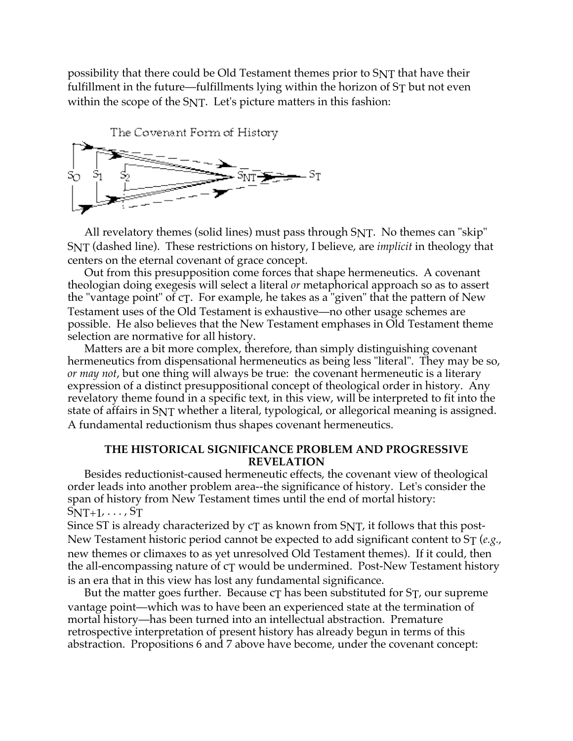possibility that there could be Old Testament themes prior to SNT that have their fulfillment in the future—fulfillments lying within the horizon of ST but not even within the scope of the SNT. Let's picture matters in this fashion:



All revelatory themes (solid lines) must pass through SNT. No themes can "skip" SNT (dashed line). These restrictions on history, I believe, are *implicit* in theology that centers on the eternal covenant of grace concept.

Out from this presupposition come forces that shape hermeneutics. A covenant theologian doing exegesis will select a literal *or* metaphorical approach so as to assert the "vantage point" of  $cT$ . For example, he takes as a "given" that the pattern of New Testament uses of the Old Testament is exhaustive—no other usage schemes are possible. He also believes that the New Testament emphases in Old Testament theme selection are normative for all history.

Matters are a bit more complex, therefore, than simply distinguishing covenant hermeneutics from dispensational hermeneutics as being less "literal". They may be so, *or may not*, but one thing will always be true: the covenant hermeneutic is a literary expression of a distinct presuppositional concept of theological order in history. Any revelatory theme found in a specific text, in this view, will be interpreted to fit into the state of affairs in SNT whether a literal, typological, or allegorical meaning is assigned. A fundamental reductionism thus shapes covenant hermeneutics.

## **THE HISTORICAL SIGNIFICANCE PROBLEM AND PROGRESSIVE REVELATION**

Besides reductionist-caused hermeneutic effects, the covenant view of theological order leads into another problem area--the significance of history. Let's consider the span of history from New Testament times until the end of mortal history:  $SNT+1, \ldots, ST$ 

Since ST is already characterized by  $cT$  as known from SNT, it follows that this post-New Testament historic period cannot be expected to add significant content to ST (*e.g.*, new themes or climaxes to as yet unresolved Old Testament themes). If it could, then the all-encompassing nature of cT would be undermined. Post-New Testament history is an era that in this view has lost any fundamental significance.

But the matter goes further. Because  $c\tau$  has been substituted for  $S\tau$ , our supreme vantage point—which was to have been an experienced state at the termination of mortal history—has been turned into an intellectual abstraction. Premature retrospective interpretation of present history has already begun in terms of this abstraction. Propositions 6 and 7 above have become, under the covenant concept: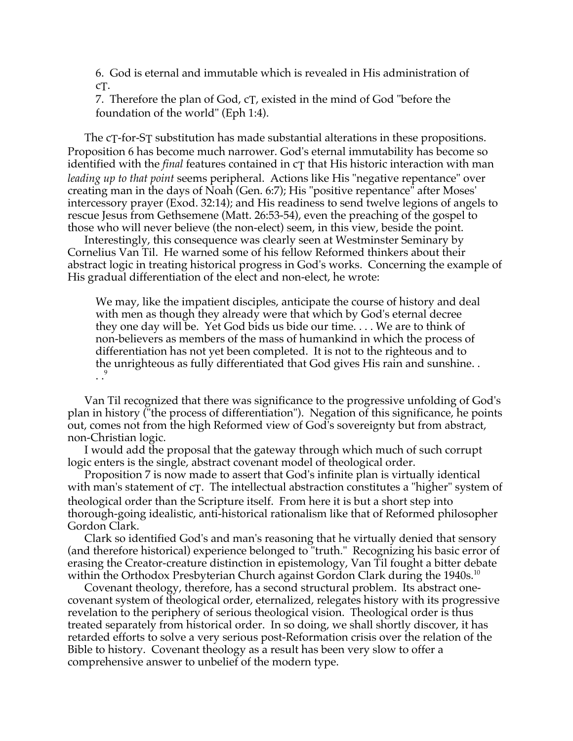6. God is eternal and immutable which is revealed in His administration of cT.

7. Therefore the plan of God, cT, existed in the mind of God "before the foundation of the world" (Eph 1:4).

The cT-for-ST substitution has made substantial alterations in these propositions. Proposition 6 has become much narrower. God's eternal immutability has become so identified with the *final* features contained in cT that His historic interaction with man *leading up to that point* seems peripheral. Actions like His "negative repentance" over creating man in the days of Noah (Gen. 6:7); His "positive repentance" after Moses' intercessory prayer (Exod. 32:14); and His readiness to send twelve legions of angels to rescue Jesus from Gethsemene (Matt. 26:53-54), even the preaching of the gospel to those who will never believe (the non-elect) seem, in this view, beside the point.

Interestingly, this consequence was clearly seen at Westminster Seminary by Cornelius Van Til. He warned some of his fellow Reformed thinkers about their abstract logic in treating historical progress in God's works. Concerning the example of His gradual differentiation of the elect and non-elect, he wrote:

We may, like the impatient disciples, anticipate the course of history and deal with men as though they already were that which by God's eternal decree they one day will be. Yet God bids us bide our time. . . . We are to think of non-believers as members of the mass of humankind in which the process of differentiation has not yet been completed. It is not to the righteous and to the unrighteous as fully differentiated that God gives His rain and sunshine. .  $\cdot$ .<sup>9</sup>

Van Til recognized that there was significance to the progressive unfolding of God's plan in history ("the process of differentiation"). Negation of this significance, he points out, comes not from the high Reformed view of God's sovereignty but from abstract, non-Christian logic.

I would add the proposal that the gateway through which much of such corrupt logic enters is the single, abstract covenant model of theological order.

Proposition 7 is now made to assert that God's infinite plan is virtually identical with man's statement of c $\tau$ . The intellectual abstraction constitutes a "higher" system of theological order than the Scripture itself. From here it is but a short step into thorough-going idealistic, anti-historical rationalism like that of Reformed philosopher Gordon Clark.

Clark so identified God's and man's reasoning that he virtually denied that sensory (and therefore historical) experience belonged to "truth." Recognizing his basic error of erasing the Creator-creature distinction in epistemology, Van Til fought a bitter debate within the Orthodox Presbyterian Church against Gordon Clark during the 1940s.<sup>10</sup>

Covenant theology, therefore, has a second structural problem. Its abstract onecovenant system of theological order, eternalized, relegates history with its progressive revelation to the periphery of serious theological vision. Theological order is thus treated separately from historical order. In so doing, we shall shortly discover, it has retarded efforts to solve a very serious post-Reformation crisis over the relation of the Bible to history. Covenant theology as a result has been very slow to offer a comprehensive answer to unbelief of the modern type.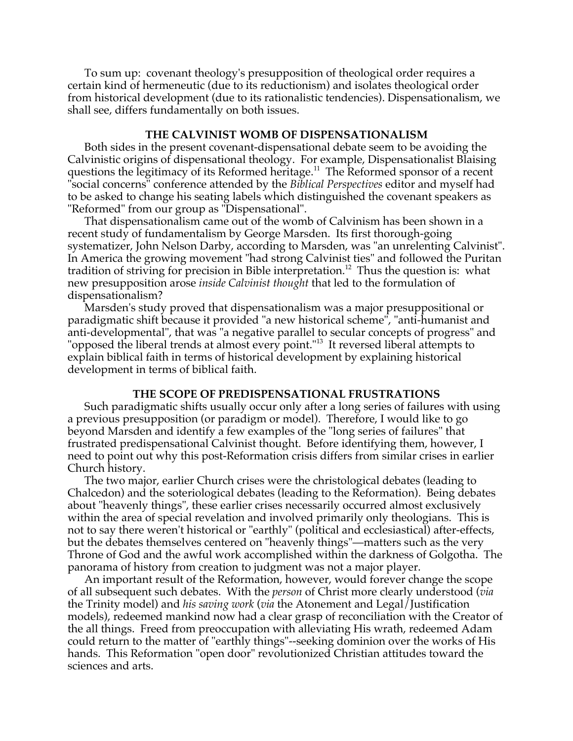To sum up: covenant theology's presupposition of theological order requires a certain kind of hermeneutic (due to its reductionism) and isolates theological order from historical development (due to its rationalistic tendencies). Dispensationalism, we shall see, differs fundamentally on both issues.

### **THE CALVINIST WOMB OF DISPENSATIONALISM**

Both sides in the present covenant-dispensational debate seem to be avoiding the Calvinistic origins of dispensational theology. For example, Dispensationalist Blaising questions the legitimacy of its Reformed heritage.<sup>11</sup> The Reformed sponsor of a recent "social concerns" conference attended by the *Biblical Perspectives* editor and myself had to be asked to change his seating labels which distinguished the covenant speakers as "Reformed" from our group as "Dispensational".

That dispensationalism came out of the womb of Calvinism has been shown in a recent study of fundamentalism by George Marsden. Its first thorough-going systematizer, John Nelson Darby, according to Marsden, was "an unrelenting Calvinist". In America the growing movement "had strong Calvinist ties" and followed the Puritan tradition of striving for precision in Bible interpretation.<sup>12</sup> Thus the question is: what new presupposition arose *inside Calvinist thought* that led to the formulation of dispensationalism?

Marsden's study proved that dispensationalism was a major presuppositional or paradigmatic shift because it provided "a new historical scheme", "anti-humanist and anti-developmental", that was "a negative parallel to secular concepts of progress" and "opposed the liberal trends at almost every point."<sup>13</sup> It reversed liberal attempts to explain biblical faith in terms of historical development by explaining historical development in terms of biblical faith.

#### **THE SCOPE OF PREDISPENSATIONAL FRUSTRATIONS**

Such paradigmatic shifts usually occur only after a long series of failures with using a previous presupposition (or paradigm or model). Therefore, I would like to go beyond Marsden and identify a few examples of the "long series of failures" that frustrated predispensational Calvinist thought. Before identifying them, however, I need to point out why this post-Reformation crisis differs from similar crises in earlier Church history.

The two major, earlier Church crises were the christological debates (leading to Chalcedon) and the soteriological debates (leading to the Reformation). Being debates about "heavenly things", these earlier crises necessarily occurred almost exclusively within the area of special revelation and involved primarily only theologians. This is not to say there weren't historical or "earthly" (political and ecclesiastical) after-effects, but the debates themselves centered on "heavenly things"—matters such as the very Throne of God and the awful work accomplished within the darkness of Golgotha. The panorama of history from creation to judgment was not a major player.

An important result of the Reformation, however, would forever change the scope of all subsequent such debates. With the *person* of Christ more clearly understood (*via* the Trinity model) and *his saving work* (*via* the Atonement and Legal/Justification models), redeemed mankind now had a clear grasp of reconciliation with the Creator of the all things. Freed from preoccupation with alleviating His wrath, redeemed Adam could return to the matter of "earthly things"--seeking dominion over the works of His hands. This Reformation "open door" revolutionized Christian attitudes toward the sciences and arts.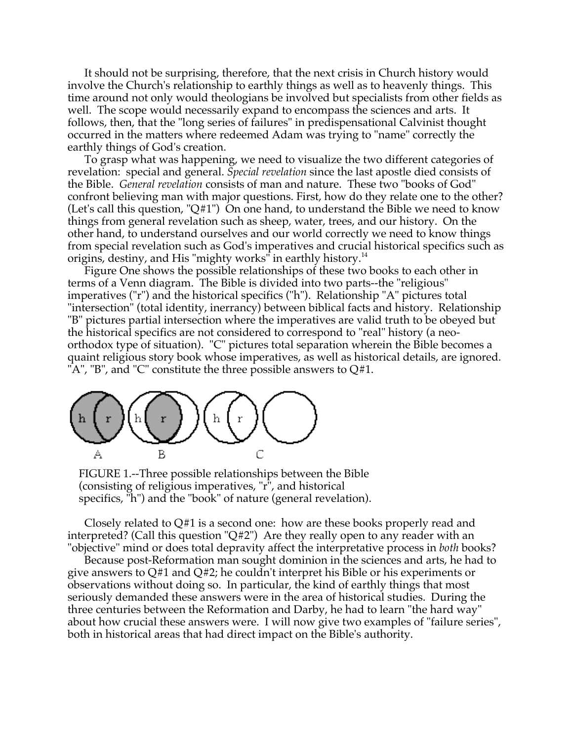It should not be surprising, therefore, that the next crisis in Church history would involve the Church's relationship to earthly things as well as to heavenly things. This time around not only would theologians be involved but specialists from other fields as well. The scope would necessarily expand to encompass the sciences and arts. It follows, then, that the "long series of failures" in predispensational Calvinist thought occurred in the matters where redeemed Adam was trying to "name" correctly the earthly things of God's creation.

To grasp what was happening, we need to visualize the two different categories of revelation: special and general. *Special revelation* since the last apostle died consists of the Bible. *General revelation* consists of man and nature. These two "books of God" confront believing man with major questions. First, how do they relate one to the other? (Let's call this question, "Q#1") On one hand, to understand the Bible we need to know things from general revelation such as sheep, water, trees, and our history. On the other hand, to understand ourselves and our world correctly we need to know things from special revelation such as God's imperatives and crucial historical specifics such as origins, destiny, and His "mighty works" in earthly history.<sup>14</sup>

Figure One shows the possible relationships of these two books to each other in terms of a Venn diagram. The Bible is divided into two parts--the "religious" imperatives ("r") and the historical specifics ("h"). Relationship "A" pictures total "intersection" (total identity, inerrancy) between biblical facts and history. Relationship "B" pictures partial intersection where the imperatives are valid truth to be obeyed but the historical specifics are not considered to correspond to "real" history (a neoorthodox type of situation). "C" pictures total separation wherein the Bible becomes a quaint religious story book whose imperatives, as well as historical details, are ignored. "A", "B", and "C" constitute the three possible answers to  $Q#1$ .



FIGURE 1.--Three possible relationships between the Bible (consisting of religious imperatives, "r", and historical specifics, "h") and the "book" of nature (general revelation).

Closely related to  $Q#1$  is a second one: how are these books properly read and interpreted? (Call this question "Q#2") Are they really open to any reader with an "objective" mind or does total depravity affect the interpretative process in *both* books?

Because post-Reformation man sought dominion in the sciences and arts, he had to give answers to Q#1 and Q#2; he couldn't interpret his Bible or his experiments or observations without doing so. In particular, the kind of earthly things that most seriously demanded these answers were in the area of historical studies. During the three centuries between the Reformation and Darby, he had to learn "the hard way" about how crucial these answers were. I will now give two examples of "failure series", both in historical areas that had direct impact on the Bible's authority.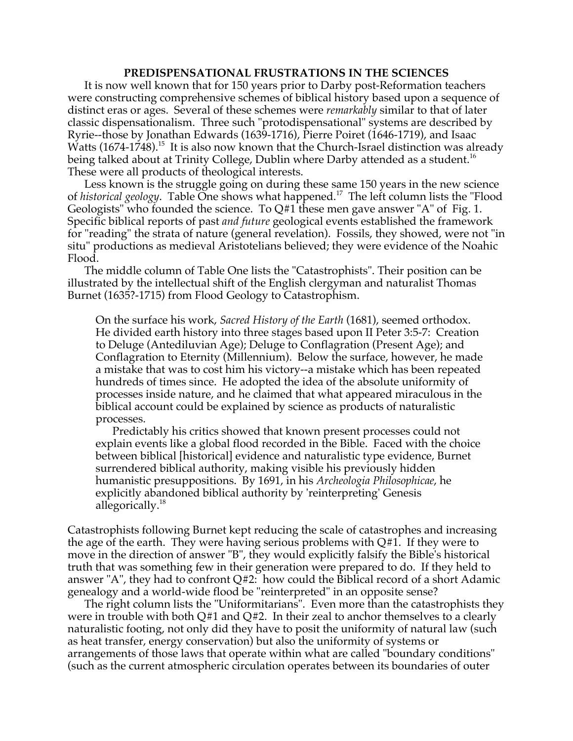### **PREDISPENSATIONAL FRUSTRATIONS IN THE SCIENCES**

It is now well known that for 150 years prior to Darby post-Reformation teachers were constructing comprehensive schemes of biblical history based upon a sequence of distinct eras or ages. Several of these schemes were *remarkably* similar to that of later classic dispensationalism. Three such "protodispensational" systems are described by Ryrie--those by Jonathan Edwards (1639-1716), Pierre Poiret (1646-1719), and Isaac Watts (1674-1748). $^{15}$  It is also now known that the Church-Israel distinction was already being talked about at Trinity College, Dublin where Darby attended as a student.<sup>16</sup> These were all products of theological interests.

Less known is the struggle going on during these same 150 years in the new science of *historical geology*. Table One shows what happened.<sup>17</sup> The left column lists the "Flood Geologists" who founded the science. To Q#1 these men gave answer "A" of Fig. 1. Specific biblical reports of past *and future* geological events established the framework for "reading" the strata of nature (general revelation). Fossils, they showed, were not "in situ" productions as medieval Aristotelians believed; they were evidence of the Noahic Flood.

The middle column of Table One lists the "Catastrophists". Their position can be illustrated by the intellectual shift of the English clergyman and naturalist Thomas Burnet (1635?-1715) from Flood Geology to Catastrophism.

On the surface his work, *Sacred History of the Earth* (1681), seemed orthodox. He divided earth history into three stages based upon II Peter 3:5-7: Creation to Deluge (Antediluvian Age); Deluge to Conflagration (Present Age); and Conflagration to Eternity (Millennium). Below the surface, however, he made a mistake that was to cost him his victory--a mistake which has been repeated hundreds of times since. He adopted the idea of the absolute uniformity of processes inside nature, and he claimed that what appeared miraculous in the biblical account could be explained by science as products of naturalistic processes.

Predictably his critics showed that known present processes could not explain events like a global flood recorded in the Bible. Faced with the choice between biblical [historical] evidence and naturalistic type evidence, Burnet surrendered biblical authority, making visible his previously hidden humanistic presuppositions. By 1691, in his *Archeologia Philosophicae*, he explicitly abandoned biblical authority by 'reinterpreting' Genesis allegorically.<sup>18</sup>

Catastrophists following Burnet kept reducing the scale of catastrophes and increasing the age of the earth. They were having serious problems with  $Q#1$ . If they were to move in the direction of answer "B", they would explicitly falsify the Bible's historical truth that was something few in their generation were prepared to do. If they held to answer "A", they had to confront Q#2: how could the Biblical record of a short Adamic genealogy and a world-wide flood be "reinterpreted" in an opposite sense?

The right column lists the "Uniformitarians". Even more than the catastrophists they were in trouble with both  $Q#1$  and  $Q#2$ . In their zeal to anchor themselves to a clearly naturalistic footing, not only did they have to posit the uniformity of natural law (such as heat transfer, energy conservation) but also the uniformity of systems or arrangements of those laws that operate within what are called "boundary conditions" (such as the current atmospheric circulation operates between its boundaries of outer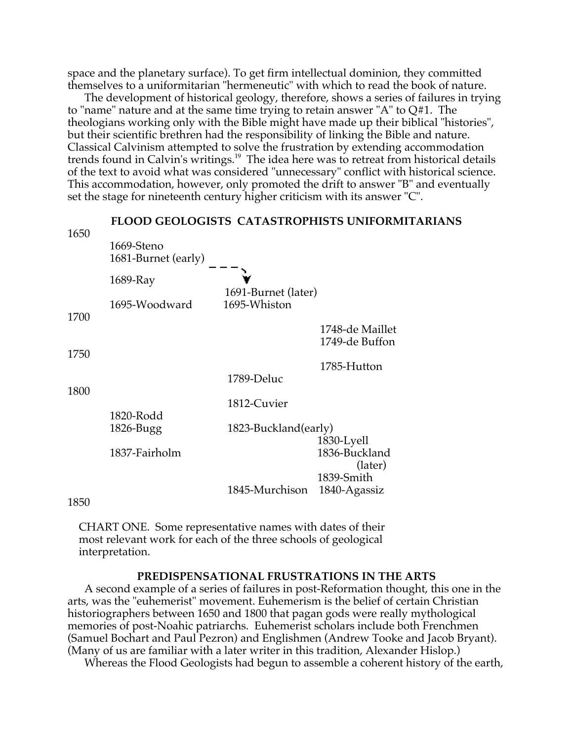space and the planetary surface). To get firm intellectual dominion, they committed themselves to a uniformitarian "hermeneutic" with which to read the book of nature.

The development of historical geology, therefore, shows a series of failures in trying to "name" nature and at the same time trying to retain answer "A" to  $Q#1$ . The theologians working only with the Bible might have made up their biblical "histories", but their scientific brethren had the responsibility of linking the Bible and nature. Classical Calvinism attempted to solve the frustration by extending accommodation trends found in Calvin's writings.<sup>19</sup> The idea here was to retreat from historical details of the text to avoid what was considered "unnecessary" conflict with historical science. This accommodation, however, only promoted the drift to answer "B" and eventually set the stage for nineteenth century higher criticism with its answer "C".



1850

CHART ONE. Some representative names with dates of their most relevant work for each of the three schools of geological interpretation.

## **PREDISPENSATIONAL FRUSTRATIONS IN THE ARTS**

A second example of a series of failures in post-Reformation thought, this one in the arts, was the "euhemerist" movement. Euhemerism is the belief of certain Christian historiographers between 1650 and 1800 that pagan gods were really mythological memories of post-Noahic patriarchs. Euhemerist scholars include both Frenchmen (Samuel Bochart and Paul Pezron) and Englishmen (Andrew Tooke and Jacob Bryant). (Many of us are familiar with a later writer in this tradition, Alexander Hislop.)

Whereas the Flood Geologists had begun to assemble a coherent history of the earth,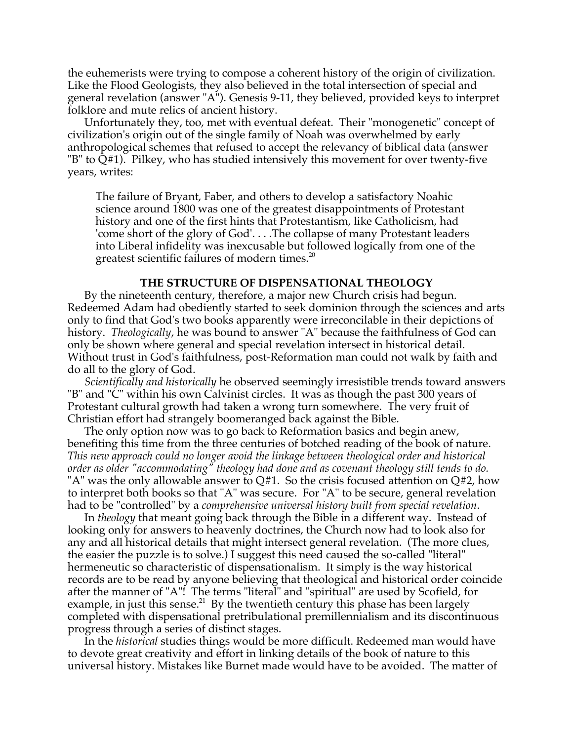the euhemerists were trying to compose a coherent history of the origin of civilization. Like the Flood Geologists, they also believed in the total intersection of special and general revelation (answer "A"). Genesis 9-11, they believed, provided keys to interpret folklore and mute relics of ancient history.

Unfortunately they, too, met with eventual defeat. Their "monogenetic" concept of civilization's origin out of the single family of Noah was overwhelmed by early anthropological schemes that refused to accept the relevancy of biblical data (answer "B" to Q#1). Pilkey, who has studied intensively this movement for over twenty-five years, writes:

The failure of Bryant, Faber, and others to develop a satisfactory Noahic science around 1800 was one of the greatest disappointments of Protestant history and one of the first hints that Protestantism, like Catholicism, had 'come short of the glory of God'. . . .The collapse of many Protestant leaders into Liberal infidelity was inexcusable but followed logically from one of the greatest scientific failures of modern times.<sup>20</sup>

## **THE STRUCTURE OF DISPENSATIONAL THEOLOGY**

By the nineteenth century, therefore, a major new Church crisis had begun. Redeemed Adam had obediently started to seek dominion through the sciences and arts only to find that God's two books apparently were irreconcilable in their depictions of history. *Theologically*, he was bound to answer "A" because the faithfulness of God can only be shown where general and special revelation intersect in historical detail. Without trust in God's faithfulness, post-Reformation man could not walk by faith and do all to the glory of God.

*Scientifically and historically* he observed seemingly irresistible trends toward answers "B" and "C" within his own Calvinist circles. It was as though the past 300 years of Protestant cultural growth had taken a wrong turn somewhere. The very fruit of Christian effort had strangely boomeranged back against the Bible.

The only option now was to go back to Reformation basics and begin anew, benefiting this time from the three centuries of botched reading of the book of nature. *This new approach could no longer avoid the linkage between theological order and historical order as older "accommodating" theology had done and as covenant theology still tends to do.* "A" was the only allowable answer to Q#1. So the crisis focused attention on Q#2, how to interpret both books so that "A" was secure. For "A" to be secure, general revelation had to be "controlled" by a *comprehensive universal history built from special revelation*.

In *theology* that meant going back through the Bible in a different way. Instead of looking only for answers to heavenly doctrines, the Church now had to look also for any and all historical details that might intersect general revelation. (The more clues, the easier the puzzle is to solve.) I suggest this need caused the so-called "literal" hermeneutic so characteristic of dispensationalism. It simply is the way historical records are to be read by anyone believing that theological and historical order coincide after the manner of "A"! The terms "literal" and "spiritual" are used by Scofield, for example, in just this sense. $^{21}$  By the twentieth century this phase has been largely completed with dispensational pretribulational premillennialism and its discontinuous progress through a series of distinct stages.

In the *historical* studies things would be more difficult. Redeemed man would have to devote great creativity and effort in linking details of the book of nature to this universal history. Mistakes like Burnet made would have to be avoided. The matter of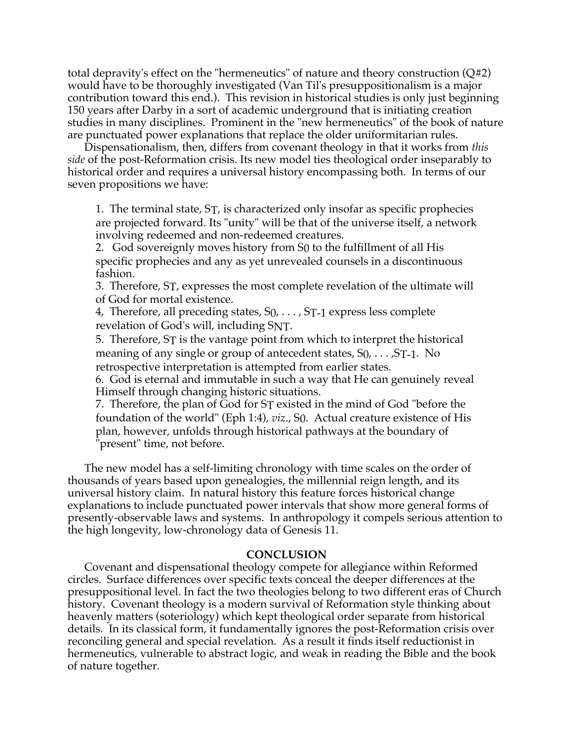total depravity's effect on the "hermeneutics" of nature and theory construction (Q#2) would have to be thoroughly investigated (Van Til's presuppositionalism is a major contribution toward this end.). This revision in historical studies is only just beginning 150 years after Darby in a sort of academic underground that is initiating creation studies in many disciplines. Prominent in the "new hermeneutics" of the book of nature are punctuated power explanations that replace the older uniformitarian rules.

Dispensationalism, then, differs from covenant theology in that it works from *this side* of the post-Reformation crisis. Its new model ties theological order inseparably to historical order and requires a universal history encompassing both. In terms of our seven propositions we have:

1. The terminal state, ST, is characterized only insofar as specific prophecies are projected forward. Its "unity" will be that of the universe itself, a network involving redeemed and non-redeemed creatures.

2. God sovereignly moves history from S0 to the fulfillment of all His specific prophecies and any as yet unrevealed counsels in a discontinuous fashion.

3. Therefore, ST, expresses the most complete revelation of the ultimate will of God for mortal existence.

4, Therefore, all preceding states, S0, . . . , ST-1 express less complete revelation of God's will, including SNT.

5. Therefore, ST is the vantage point from which to interpret the historical meaning of any single or group of antecedent states,  $S_0, \ldots, S_{T-1}$ . No retrospective interpretation is attempted from earlier states.

6. God is eternal and immutable in such a way that He can genuinely reveal Himself through changing historic situations.

7. Therefore, the plan of God for ST existed in the mind of God "before the foundation of the world" (Eph 1:4), *viz*., S0. Actual creature existence of His plan, however, unfolds through historical pathways at the boundary of "present" time, not before.

The new model has a self-limiting chronology with time scales on the order of thousands of years based upon genealogies, the millennial reign length, and its universal history claim. In natural history this feature forces historical change explanations to include punctuated power intervals that show more general forms of presently-observable laws and systems. In anthropology it compels serious attention to the high longevity, low-chronology data of Genesis 11.

#### **CONCLUSION**

Covenant and dispensational theology compete for allegiance within Reformed circles. Surface differences over specific texts conceal the deeper differences at the presuppositional level. In fact the two theologies belong to two different eras of Church history. Covenant theology is a modern survival of Reformation style thinking about heavenly matters (soteriology) which kept theological order separate from historical details. In its classical form, it fundamentally ignores the post-Reformation crisis over reconciling general and special revelation. As a result it finds itself reductionist in hermeneutics, vulnerable to abstract logic, and weak in reading the Bible and the book of nature together.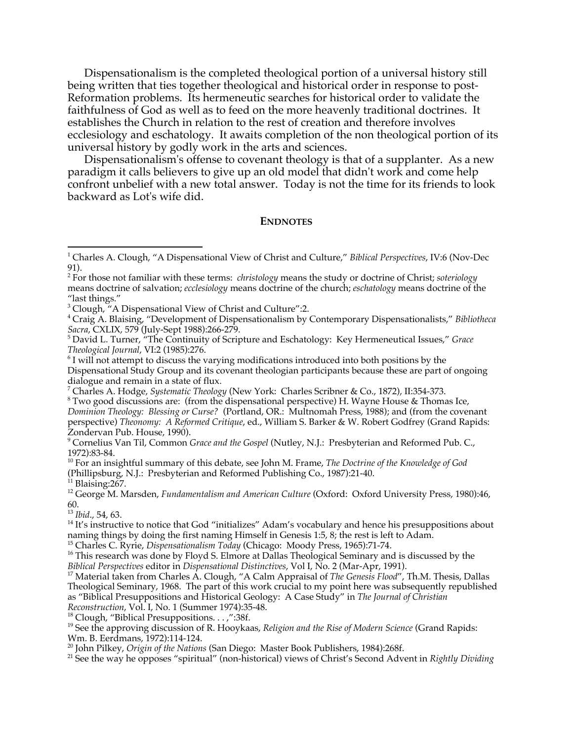Dispensationalism is the completed theological portion of a universal history still being written that ties together theological and historical order in response to post-Reformation problems. Its hermeneutic searches for historical order to validate the faithfulness of God as well as to feed on the more heavenly traditional doctrines. It establishes the Church in relation to the rest of creation and therefore involves ecclesiology and eschatology. It awaits completion of the non theological portion of its universal history by godly work in the arts and sciences.

Dispensationalism's offense to covenant theology is that of a supplanter. As a new paradigm it calls believers to give up an old model that didn't work and come help confront unbelief with a new total answer. Today is not the time for its friends to look backward as Lot's wife did.

#### **ENDNOTES**

2 For those not familiar with these terms: *christology* means the study or doctrine of Christ; *soteriology* means doctrine of salvation; *ecclesiology* means doctrine of the church; *eschatology* means doctrine of the "last things."

4 Craig A. Blaising, "Development of Dispensationalism by Contemporary Dispensationalists," *Bibliotheca*

*Sacra*, CXLIX, 579 (July-Sept 1988):266-279. <sup>5</sup> David L. Turner, "The Continuity of Scripture and Eschatology: Key Hermeneutical Issues," *Grace Theological Journal*, VI:2 (1985):276. <sup>6</sup>

 $6$  I will not attempt to discuss the varying modifications introduced into both positions by the Dispensational Study Group and its covenant theologian participants because these are part of ongoing dialogue and remain in a state of flux.

<sup>7</sup> Charles A. Hodge, *Systematic Theology* (New York: Charles Scribner & Co., 1872), II:354-373.<br><sup>8</sup> Two good discussions are: (from the disponsational perspective) H. Wayno House & Thome

 Two good discussions are: (from the dispensational perspective) H. Wayne House & Thomas Ice, *Dominion Theology: Blessing or Curse?* (Portland, OR.: Multnomah Press, 1988); and (from the covenant perspective) *Theonomy: A Reformed Critique*, ed., William S. Barker & W. Robert Godfrey (Grand Rapids: Zondervan Pub. House, 1990).

9 Cornelius Van Til, Common *Grace and the Gospel* (Nutley, N.J.: Presbyterian and Reformed Pub. C., 1972):83-84.

10 For an insightful summary of this debate, see John M. Frame, *The Doctrine of the Knowledge of God* (Phillipsburg, N.J.: Presbyterian and Reformed Publishing Co., 1987):21-40.

<sup>11</sup> Blaising:267.

12 George M. Marsden, *Fundamentalism and American Culture* (Oxford: Oxford University Press, 1980):46, 60.

<sup>13</sup> Ibid., 54, 63.<br><sup>14</sup> It's instruct

<sup>14</sup> It's instructive to notice that God "initializes" Adam's vocabulary and hence his presuppositions about naming things by doing the first naming Himself in Genesis 1:5, 8; the rest is left to Adam.

<sup>15</sup> Charles C. Ryrie, *Dispensationalism Today* (Chicago: Moody Press, 1965):71-74.<br><sup>16</sup> This research was done by Floyd S. Elmore at Dallas Theological Seminary and

<sup>16</sup> This research was done by Floyd S. Elmore at Dallas Theological Seminary and is discussed by the

*Biblical Perspectives* editor in *Dispensational Distinctives*, Vol I, No. 2 (Mar-Apr, 1991). <sup>17</sup> Material taken from Charles A. Clough, "A Calm Appraisal of *The Genesis Flood*", Th.M. Thesis, Dallas Theological Seminary, 1968. The part of this work crucial to my point here was subsequently republished as "Biblical Presuppositions and Historical Geology: A Case Study" in *The Journal of Christian Reconstruction, Vol. I, No. 1 (Summer 1974):35-48.* 

<sup>18</sup> Clough, "Biblical Presuppositions. . . ,":38f.

19 See the approving discussion of R. Hooykaas, *Religion and the Rise of Modern Science* (Grand Rapids: Wm. B. Eerdmans, 1972):114-124.

<sup>20</sup> John Pilkey*, Origin of the Nations* (San Diego: Master Book Publishers, 1984):268f.<br><sup>21</sup> See the way be enneses "spiritual" (pen historical) views of Christ's Sesend, Adv

<sup>21</sup> See the way he opposes "spiritual" (non-historical) views of Christ's Second Advent in *Rightly Dividing* 

<sup>|&</sup>lt;br>1 Charles A. Clough, "A Dispensational View of Christ and Culture," *Biblical Perspectives*, IV:6 (Nov-Dec 91).

<sup>&</sup>lt;sup>3</sup> Clough, "A Dispensational View of Christ and Culture":2.